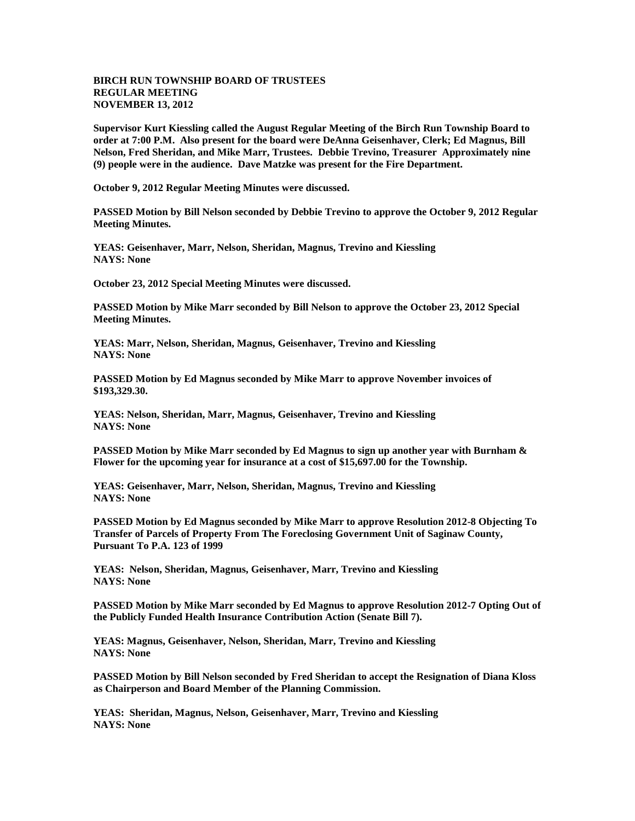## **BIRCH RUN TOWNSHIP BOARD OF TRUSTEES REGULAR MEETING NOVEMBER 13, 2012**

**Supervisor Kurt Kiessling called the August Regular Meeting of the Birch Run Township Board to order at 7:00 P.M. Also present for the board were DeAnna Geisenhaver, Clerk; Ed Magnus, Bill Nelson, Fred Sheridan, and Mike Marr, Trustees. Debbie Trevino, Treasurer Approximately nine (9) people were in the audience. Dave Matzke was present for the Fire Department.** 

**October 9, 2012 Regular Meeting Minutes were discussed.**

**PASSED Motion by Bill Nelson seconded by Debbie Trevino to approve the October 9, 2012 Regular Meeting Minutes.**

**YEAS: Geisenhaver, Marr, Nelson, Sheridan, Magnus, Trevino and Kiessling NAYS: None**

**October 23, 2012 Special Meeting Minutes were discussed.**

**PASSED Motion by Mike Marr seconded by Bill Nelson to approve the October 23, 2012 Special Meeting Minutes.**

**YEAS: Marr, Nelson, Sheridan, Magnus, Geisenhaver, Trevino and Kiessling NAYS: None**

**PASSED Motion by Ed Magnus seconded by Mike Marr to approve November invoices of \$193,329.30.**

**YEAS: Nelson, Sheridan, Marr, Magnus, Geisenhaver, Trevino and Kiessling NAYS: None**

**PASSED Motion by Mike Marr seconded by Ed Magnus to sign up another year with Burnham & Flower for the upcoming year for insurance at a cost of \$15,697.00 for the Township.**

**YEAS: Geisenhaver, Marr, Nelson, Sheridan, Magnus, Trevino and Kiessling NAYS: None**

**PASSED Motion by Ed Magnus seconded by Mike Marr to approve Resolution 2012-8 Objecting To Transfer of Parcels of Property From The Foreclosing Government Unit of Saginaw County, Pursuant To P.A. 123 of 1999**

**YEAS: Nelson, Sheridan, Magnus, Geisenhaver, Marr, Trevino and Kiessling NAYS: None**

**PASSED Motion by Mike Marr seconded by Ed Magnus to approve Resolution 2012-7 Opting Out of the Publicly Funded Health Insurance Contribution Action (Senate Bill 7).**

**YEAS: Magnus, Geisenhaver, Nelson, Sheridan, Marr, Trevino and Kiessling NAYS: None**

**PASSED Motion by Bill Nelson seconded by Fred Sheridan to accept the Resignation of Diana Kloss as Chairperson and Board Member of the Planning Commission.**

**YEAS: Sheridan, Magnus, Nelson, Geisenhaver, Marr, Trevino and Kiessling NAYS: None**